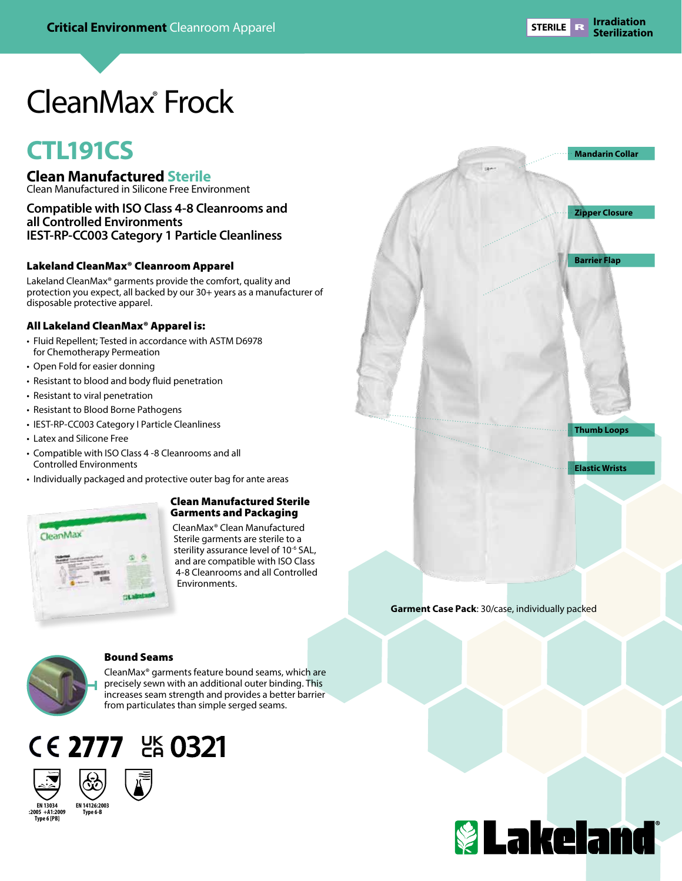# CleanMax® Frock

# **CTL191CS**

- **Clean Manufactured Sterile**
- Clean Manufactured in Silicone Free Environment

#### **Compatible with ISO Class 4-8 Cleanrooms and all Controlled Environments IEST-RP-CC003 Category 1 Particle Cleanliness**

#### Lakeland CleanMax® Cleanroom Apparel

Lakeland CleanMax® garments provide the comfort, quality and protection you expect, all backed by our 30+ years as a manufacturer of disposable protective apparel.

#### All Lakeland CleanMax® Apparel is:

- Fluid Repellent; Tested in accordance with ASTM D6978 for Chemotherapy Permeation
- Open Fold for easier donning
- Resistant to blood and body fluid penetration
- Resistant to viral penetration
- Resistant to Blood Borne Pathogens
- IEST-RP-CC003 Category I Particle Cleanliness
- Latex and Silicone Free
- Compatible with ISO Class 4 -8 Cleanrooms and all Controlled Environments
- Individually packaged and protective outer bag for ante areas



#### Clean Manufactured Sterile Garments and Packaging

CleanMax® Clean Manufactured Sterile garments are sterile to a sterility assurance level of 10-6 SAL, and are compatible with ISO Class 4-8 Cleanrooms and all Controlled **Environments** 



#### Bound Seams

CleanMax® garments feature bound seams, which are precisely sewn with an additional outer binding. This increases seam strength and provides a better barrier from particulates than simple serged seams.







**EN 13034 :2005 +A1:2009 Type 6 [PB] Type 6-B**





**Garment Case Pack**: 30/case, individually packed